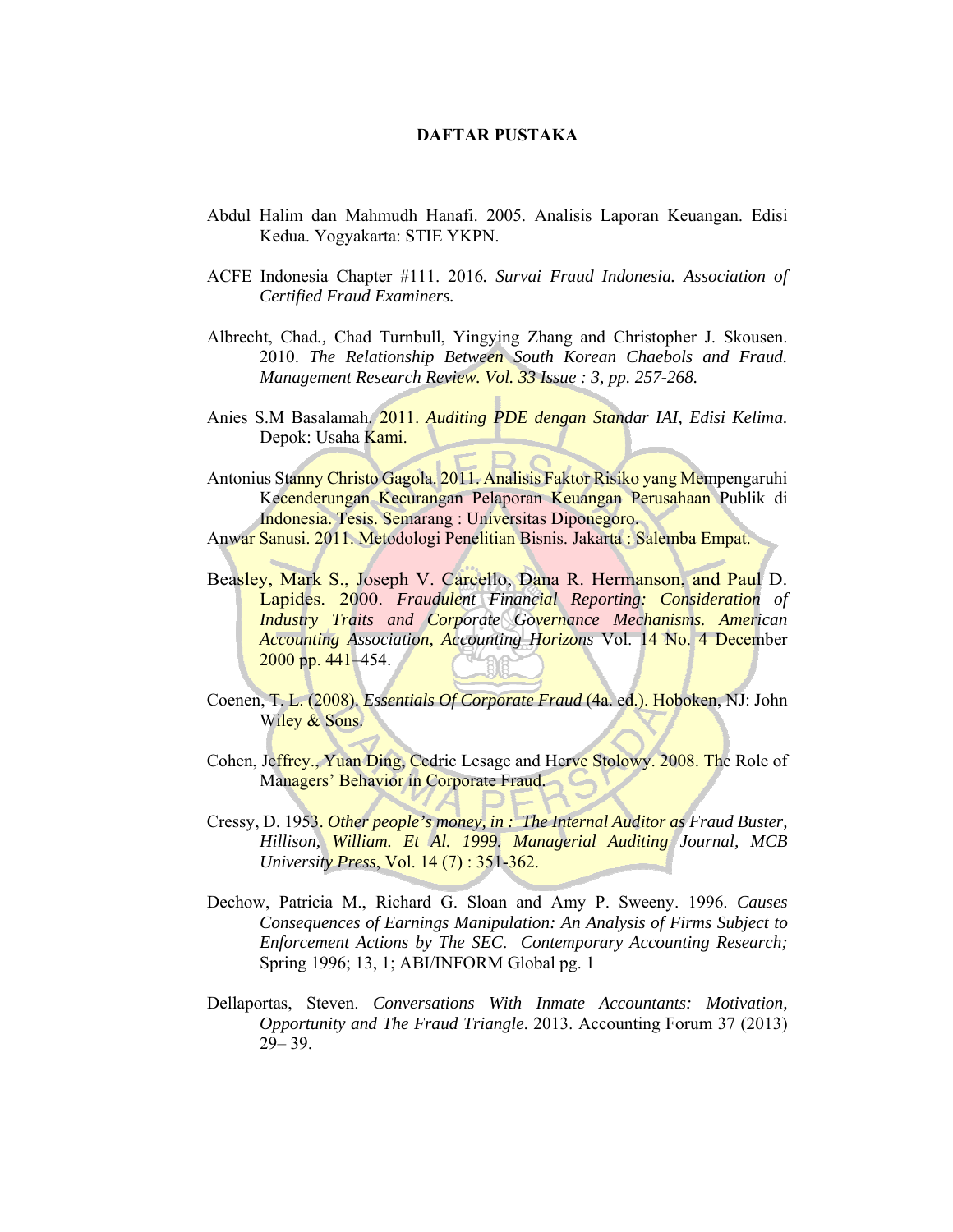## **DAFTAR PUSTAKA**

- Abdul Halim dan Mahmudh Hanafi. 2005. Analisis Laporan Keuangan. Edisi Kedua. Yogyakarta: STIE YKPN.
- ACFE Indonesia Chapter #111. 2016*. Survai Fraud Indonesia. Association of Certified Fraud Examiners.*
- Albrecht, Chad*.,* Chad Turnbull, Yingying Zhang and Christopher J. Skousen. 2010. *The Relationship Between South Korean Chaebols and Fraud. Management Research Review. Vol. 33 Issue : 3, pp. 257-268.*
- Anies S.M Basalamah. 2011. *Auditing PDE dengan Standar IAI, Edisi Kelima.* Depok: Usaha Kami.
- Antonius Stanny Christo Gagola. 2011. Analisis Faktor Risiko yang Mempengaruhi Kecenderungan Kecurangan Pelaporan Keuangan Perusahaan Publik di Indonesia. Tesis. Semarang : Universitas Diponegoro.

Anwar Sanusi. 2011. Metodologi Penelitian Bisnis. Jakarta : Salemba Empat.

- Beasley, Mark S., Joseph V. Carcello, Dana R. Hermanson, and Paul D. Lapides. 2000. *Fraudulent Financial Reporting: Consideration of Industry Traits and Corporate Governance Mechanisms. American Accounting Association, Accounting Horizons* Vol. 14 No. 4 December 2000 pp. 441–454.
- Coenen, T. L. (2008). *Essentials Of Corporate Fraud* (4a. ed.). Hoboken, NJ: John Wiley & Sons.
- Cohen, Jeffrey., Yuan Ding, Cedric Lesage and Herve Stolowy. 2008. The Role of Managers' Behavior in Corporate Fraud.
- Cressy, D. 1953. *Other people's money, in : The Internal Auditor as Fraud Buster, Hillison, William. Et Al. 1999. Managerial Auditing Journal, MCB University Press*, Vol. 14 (7) : 351-362.
- Dechow, Patricia M., Richard G. Sloan and Amy P. Sweeny. 1996. *Causes Consequences of Earnings Manipulation: An Analysis of Firms Subject to Enforcement Actions by The SEC*. *Contemporary Accounting Research;*  Spring 1996; 13, 1; ABI/INFORM Global pg. 1
- Dellaportas, Steven. *Conversations With Inmate Accountants: Motivation, Opportunity and The Fraud Triangle*. 2013. Accounting Forum 37 (2013) 29– 39.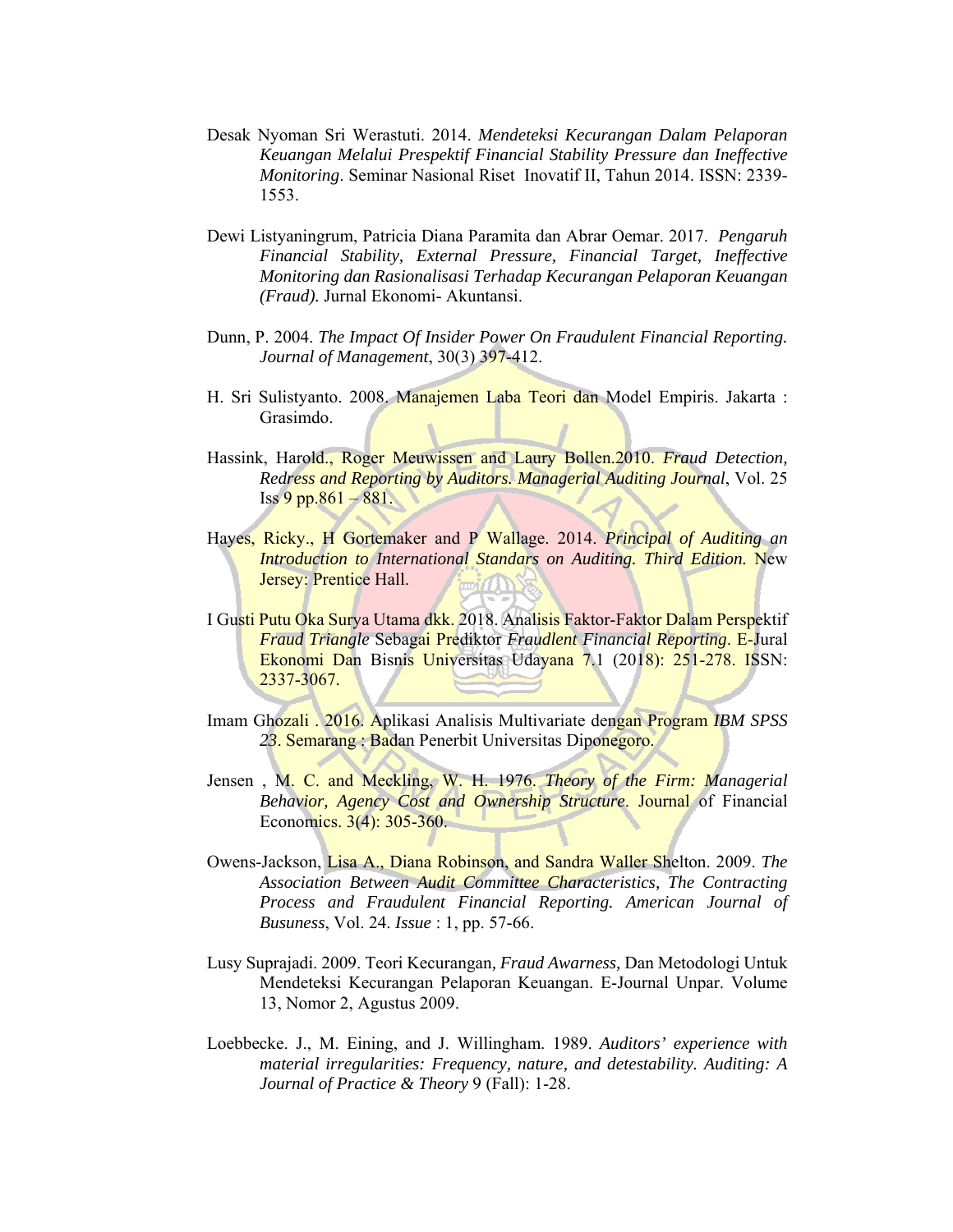- Desak Nyoman Sri Werastuti. 2014. *Mendeteksi Kecurangan Dalam Pelaporan Keuangan Melalui Prespektif Financial Stability Pressure dan Ineffective Monitoring*. Seminar Nasional Riset Inovatif II, Tahun 2014. ISSN: 2339- 1553.
- Dewi Listyaningrum, Patricia Diana Paramita dan Abrar Oemar. 2017. *Pengaruh Financial Stability, External Pressure, Financial Target, Ineffective Monitoring dan Rasionalisasi Terhadap Kecurangan Pelaporan Keuangan (Fraud).* Jurnal Ekonomi- Akuntansi.
- Dunn, P. 2004. *The Impact Of Insider Power On Fraudulent Financial Reporting. Journal of Management*, 30(3) 397-412.
- H. Sri Sulistyanto. 2008. Manajemen Laba Teori dan Model Empiris. Jakarta : Grasimdo.
- Hassink, Harold., Roger Meuwissen and Laury Bollen.2010. *Fraud Detection, Redress and Reporting by Auditors. Managerial Auditing Journal*, Vol. 25  $Iss 9 pp.861 - 881.$
- Hayes, Ricky., H Gortemaker and P Wallage. 2014. *Principal of Auditing an Introduction to International Standars on Auditing. Third Edition.* New Jersey: Prentice Hall.
- I Gusti Putu Oka Surya Utama dkk. 2018. Analisis Faktor-Faktor Dalam Perspektif *Fraud Triangle* Sebagai Prediktor *Fraudlent Financial Reporting*. E-Jural Ekonomi Dan Bisnis Universitas Udayana 7.1 (2018): 251-278. ISSN: 2337-3067.
- Imam Ghozali . 2016. Aplikasi Analisis Multivariate dengan Program *IBM SPSS 23*. Semarang : Badan Penerbit Universitas Diponegoro.
- Jensen , M. C. and Meckling, W. H. 1976. *Theory of the Firm: Managerial Behavior, Agency Cost and Ownership Structure*. Journal of Financial Economics. 3(4): 305-360.
- Owens-Jackson, Lisa A., Diana Robinson, and Sandra Waller Shelton. 2009. *The Association Between Audit Committee Characteristics, The Contracting Process and Fraudulent Financial Reporting. American Journal of Busuness*, Vol. 24. *Issue* : 1, pp. 57-66.
- Lusy Suprajadi. 2009. Teori Kecurangan*, Fraud Awarness,* Dan Metodologi Untuk Mendeteksi Kecurangan Pelaporan Keuangan. E-Journal Unpar. Volume 13, Nomor 2, Agustus 2009.
- Loebbecke. J., M. Eining, and J. Willingham. 1989. *Auditors' experience with material irregularities: Frequency, nature, and detestability. Auditing: A Journal of Practice & Theory* 9 (Fall): 1-28.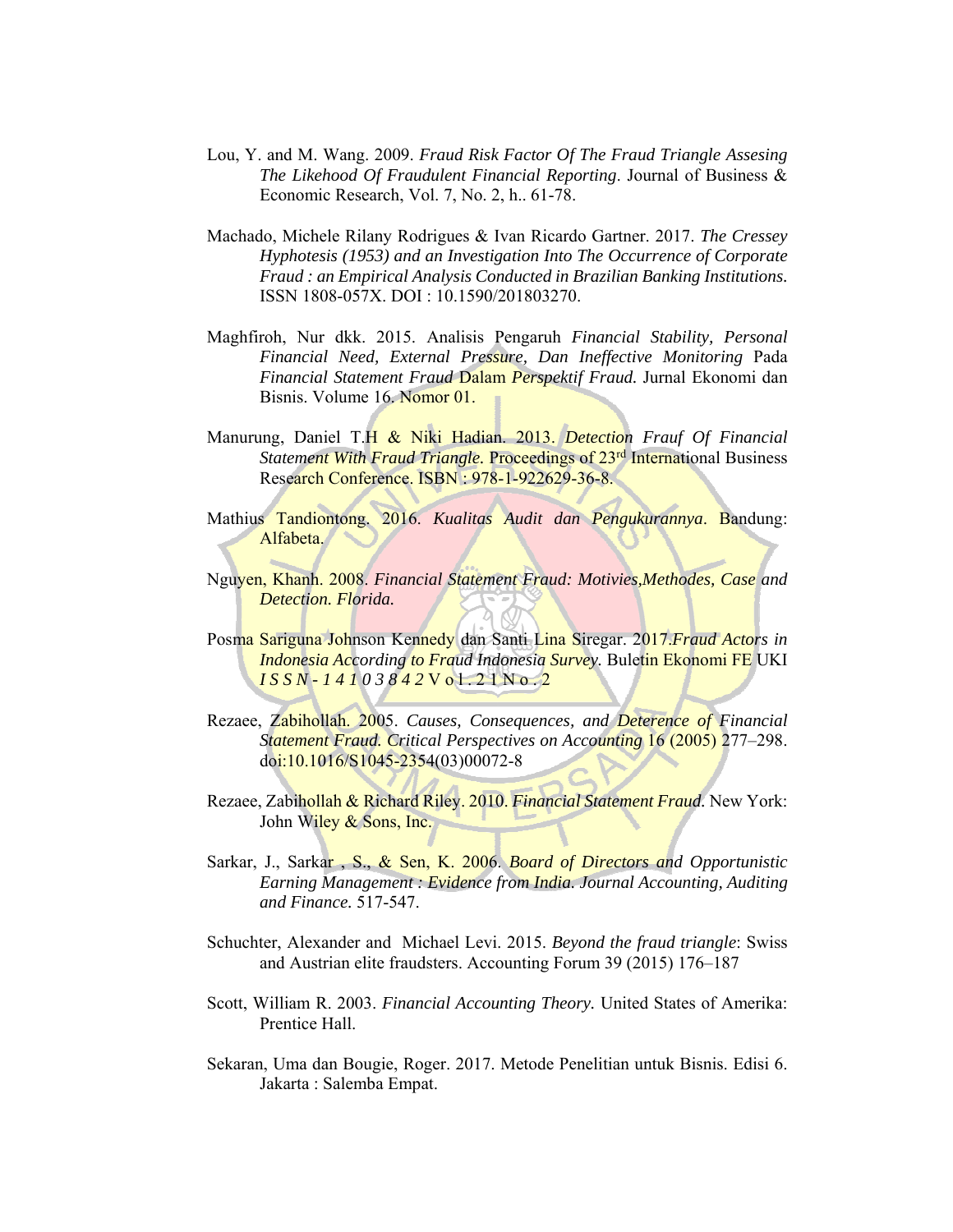- Lou, Y. and M. Wang. 2009. *Fraud Risk Factor Of The Fraud Triangle Assesing The Likehood Of Fraudulent Financial Reporting*. Journal of Business & Economic Research, Vol. 7, No. 2, h.. 61-78.
- Machado, Michele Rilany Rodrigues & Ivan Ricardo Gartner. 2017. *The Cressey Hyphotesis (1953) and an Investigation Into The Occurrence of Corporate Fraud : an Empirical Analysis Conducted in Brazilian Banking Institutions.* ISSN 1808-057X. DOI : 10.1590/201803270.
- Maghfiroh, Nur dkk. 2015. Analisis Pengaruh *Financial Stability, Personal Financial Need, External Pressure, Dan Ineffective Monitoring* Pada *Financial Statement Fraud* Dalam *Perspektif Fraud.* Jurnal Ekonomi dan Bisnis. Volume 16. Nomor 01.
- Manurung, Daniel T.H & Niki Hadian. 2013. *Detection Frauf Of Financial Statement With Fraud Triangle.* Proceedings of 23<sup>rd</sup> International Business Research Conference. ISBN : 978-1-922629-36-8.
- Mathius Tandiontong. 2016. *Kualitas Audit dan Pengukurannya*. Bandung: Alfabeta.
- Nguyen, Khanh. 2008. *Financial Statement Fraud: Motivies,Methodes, Case and Detection. Florida.*
- Posma Sariguna Johnson Kennedy dan Santi Lina Siregar. 2017.*Fraud Actors in Indonesia According to Fraud Indonesia Survey.* Buletin Ekonomi FE UKI *I S S N - 1 4 1 0 3 8 4 2* V o l . 2 1 N o . 2
- Rezaee, Zabihollah. 2005. *Causes, Consequences, and Deterence of Financial Statement Fraud. Critical Perspectives on Accounting* 16 (2005) 277–298. doi:10.1016/S1045-2354(03)00072-8
- Rezaee, Zabihollah & Richard Riley. 2010. *Financial Statement Fraud.* New York: John Wiley & Sons, Inc.
- Sarkar, J., Sarkar , S., & Sen, K. 2006. *Board of Directors and Opportunistic Earning Management : Evidence from India. Journal Accounting, Auditing and Finance.* 517-547.
- Schuchter, Alexander and Michael Levi. 2015. *Beyond the fraud triangle*: Swiss and Austrian elite fraudsters. Accounting Forum 39 (2015) 176–187
- Scott, William R. 2003. *Financial Accounting Theory.* United States of Amerika: Prentice Hall.
- Sekaran, Uma dan Bougie, Roger. 2017. Metode Penelitian untuk Bisnis. Edisi 6. Jakarta : Salemba Empat.